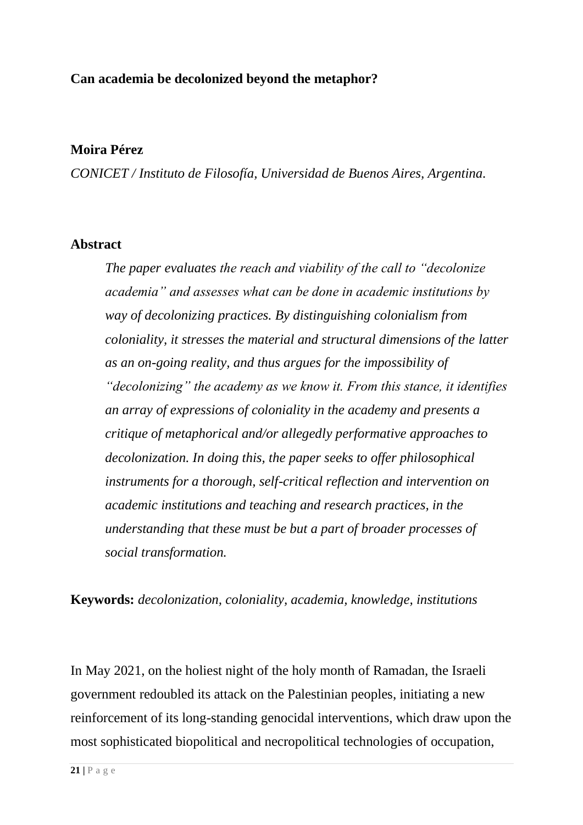# **Can academia be decolonized beyond the metaphor?**

## **Moira Pérez**

*CONICET / Instituto de Filosofía, Universidad de Buenos Aires, Argentina.*

### **Abstract**

*The paper evaluates the reach and viability of the call to "decolonize academia" and assesses what can be done in academic institutions by way of decolonizing practices. By distinguishing colonialism from coloniality, it stresses the material and structural dimensions of the latter as an on-going reality, and thus argues for the impossibility of "decolonizing" the academy as we know it. From this stance, it identifies an array of expressions of coloniality in the academy and presents a critique of metaphorical and/or allegedly performative approaches to decolonization. In doing this, the paper seeks to offer philosophical instruments for a thorough, self-critical reflection and intervention on academic institutions and teaching and research practices, in the understanding that these must be but a part of broader processes of social transformation.*

**Keywords:** *decolonization, coloniality, academia, knowledge, institutions*

In May 2021, on the holiest night of the holy month of Ramadan, the Israeli government redoubled its attack on the Palestinian peoples, initiating a new reinforcement of its long-standing genocidal interventions, which draw upon the most sophisticated biopolitical and necropolitical technologies of occupation,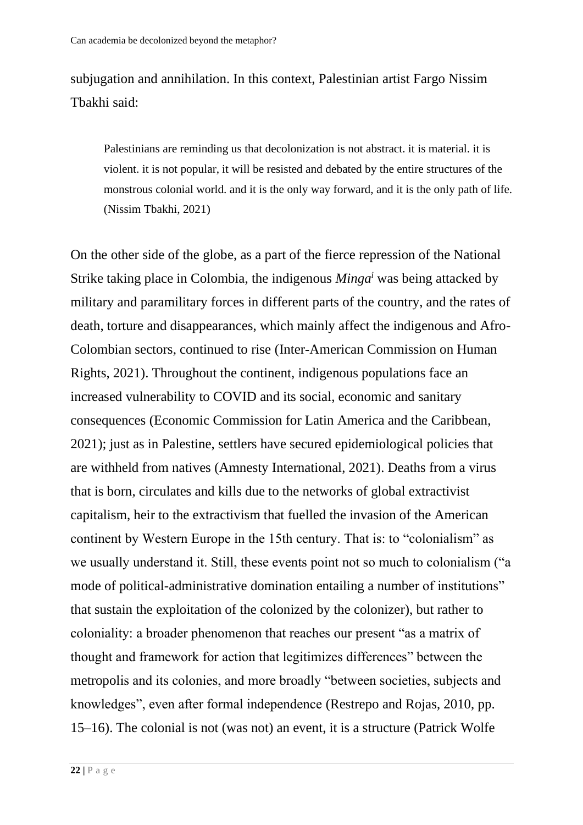subjugation and annihilation. In this context, Palestinian artist Fargo Nissim Tbakhi said:

Palestinians are reminding us that decolonization is not abstract. it is material. it is violent. it is not popular, it will be resisted and debated by the entire structures of the monstrous colonial world. and it is the only way forward, and it is the only path of life. (Nissim Tbakhi, 2021)

On the other side of the globe, as a part of the fierce repression of the National Strike taking place in Colombia, the indigenous *Minga<sup>i</sup>* was being attacked by military and paramilitary forces in different parts of the country, and the rates of death, torture and disappearances, which mainly affect the indigenous and Afro-Colombian sectors, continued to rise (Inter-American Commission on Human Rights, 2021). Throughout the continent, indigenous populations face an increased vulnerability to COVID and its social, economic and sanitary consequences (Economic Commission for Latin America and the Caribbean, 2021); just as in Palestine, settlers have secured epidemiological policies that are withheld from natives (Amnesty International, 2021). Deaths from a virus that is born, circulates and kills due to the networks of global extractivist capitalism, heir to the extractivism that fuelled the invasion of the American continent by Western Europe in the 15th century. That is: to "colonialism" as we usually understand it. Still, these events point not so much to colonialism ("a mode of political-administrative domination entailing a number of institutions" that sustain the exploitation of the colonized by the colonizer), but rather to coloniality: a broader phenomenon that reaches our present "as a matrix of thought and framework for action that legitimizes differences" between the metropolis and its colonies, and more broadly "between societies, subjects and knowledges", even after formal independence (Restrepo and Rojas, 2010, pp. 15–16). The colonial is not (was not) an event, it is a structure (Patrick Wolfe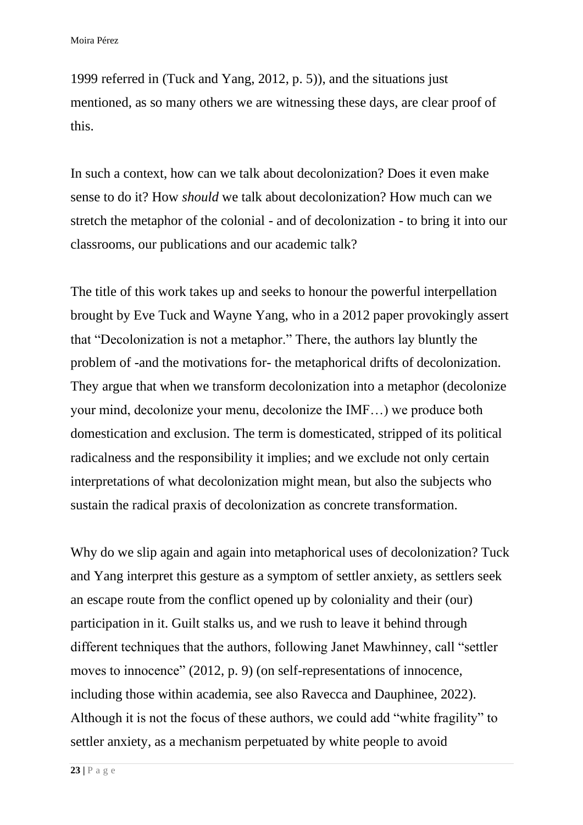1999 referred in (Tuck and Yang, 2012, p. 5)), and the situations just mentioned, as so many others we are witnessing these days, are clear proof of this.

In such a context, how can we talk about decolonization? Does it even make sense to do it? How *should* we talk about decolonization? How much can we stretch the metaphor of the colonial - and of decolonization - to bring it into our classrooms, our publications and our academic talk?

The title of this work takes up and seeks to honour the powerful interpellation brought by Eve Tuck and Wayne Yang, who in a 2012 paper provokingly assert that "Decolonization is not a metaphor." There, the authors lay bluntly the problem of -and the motivations for- the metaphorical drifts of decolonization. They argue that when we transform decolonization into a metaphor (decolonize your mind, decolonize your menu, decolonize the IMF…) we produce both domestication and exclusion. The term is domesticated, stripped of its political radicalness and the responsibility it implies; and we exclude not only certain interpretations of what decolonization might mean, but also the subjects who sustain the radical praxis of decolonization as concrete transformation.

Why do we slip again and again into metaphorical uses of decolonization? Tuck and Yang interpret this gesture as a symptom of settler anxiety, as settlers seek an escape route from the conflict opened up by coloniality and their (our) participation in it. Guilt stalks us, and we rush to leave it behind through different techniques that the authors, following Janet Mawhinney, call "settler moves to innocence" (2012, p. 9) (on self-representations of innocence, including those within academia, see also Ravecca and Dauphinee, 2022). Although it is not the focus of these authors, we could add "white fragility" to settler anxiety, as a mechanism perpetuated by white people to avoid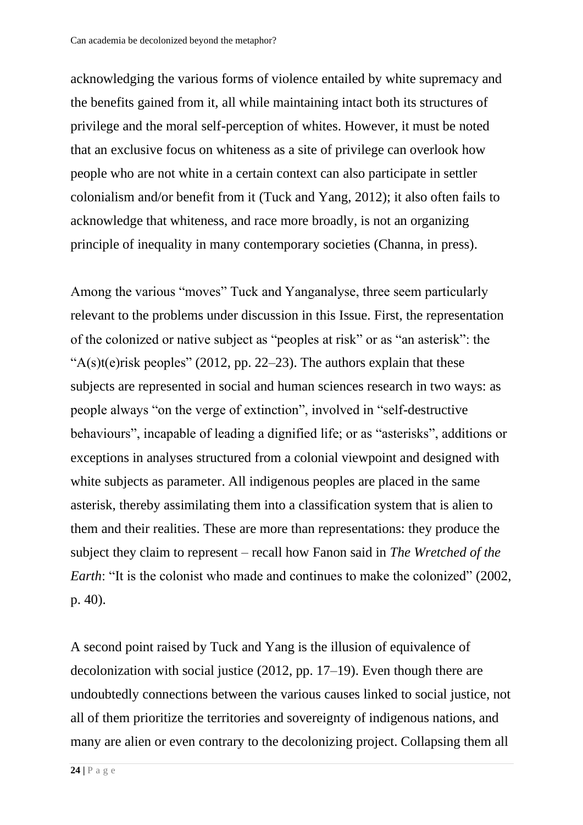acknowledging the various forms of violence entailed by white supremacy and the benefits gained from it, all while maintaining intact both its structures of privilege and the moral self-perception of whites. However, it must be noted that an exclusive focus on whiteness as a site of privilege can overlook how people who are not white in a certain context can also participate in settler colonialism and/or benefit from it (Tuck and Yang, 2012); it also often fails to acknowledge that whiteness, and race more broadly, is not an organizing principle of inequality in many contemporary societies (Channa, in press).

Among the various "moves" Tuck and Yanganalyse, three seem particularly relevant to the problems under discussion in this Issue. First, the representation of the colonized or native subject as "peoples at risk" or as "an asterisk": the " $A(s)t(e)$ risk peoples" (2012, pp. 22–23). The authors explain that these subjects are represented in social and human sciences research in two ways: as people always "on the verge of extinction", involved in "self-destructive behaviours", incapable of leading a dignified life; or as "asterisks", additions or exceptions in analyses structured from a colonial viewpoint and designed with white subjects as parameter. All indigenous peoples are placed in the same asterisk, thereby assimilating them into a classification system that is alien to them and their realities. These are more than representations: they produce the subject they claim to represent – recall how Fanon said in *The Wretched of the Earth*: "It is the colonist who made and continues to make the colonized" (2002, p. 40).

A second point raised by Tuck and Yang is the illusion of equivalence of decolonization with social justice (2012, pp. 17–19). Even though there are undoubtedly connections between the various causes linked to social justice, not all of them prioritize the territories and sovereignty of indigenous nations, and many are alien or even contrary to the decolonizing project. Collapsing them all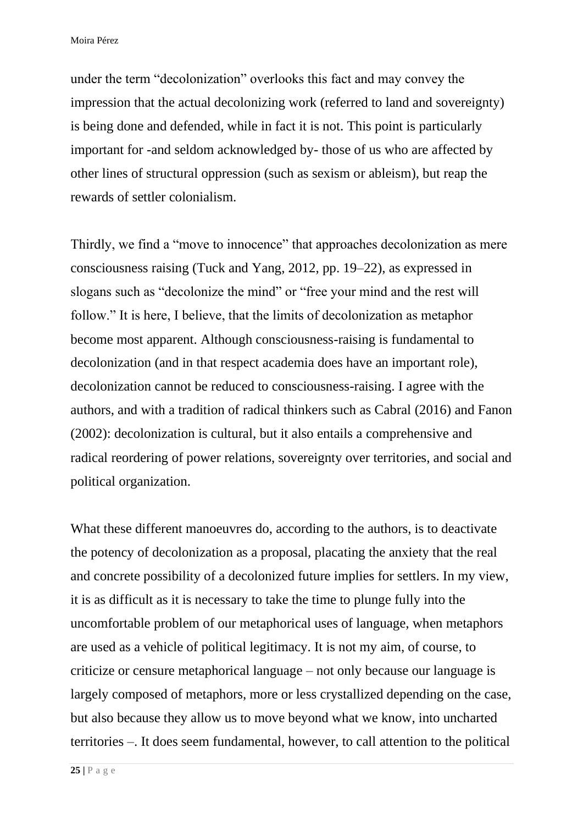under the term "decolonization" overlooks this fact and may convey the impression that the actual decolonizing work (referred to land and sovereignty) is being done and defended, while in fact it is not. This point is particularly important for -and seldom acknowledged by- those of us who are affected by other lines of structural oppression (such as sexism or ableism), but reap the rewards of settler colonialism.

Thirdly, we find a "move to innocence" that approaches decolonization as mere consciousness raising (Tuck and Yang, 2012, pp. 19–22), as expressed in slogans such as "decolonize the mind" or "free your mind and the rest will follow." It is here, I believe, that the limits of decolonization as metaphor become most apparent. Although consciousness-raising is fundamental to decolonization (and in that respect academia does have an important role), decolonization cannot be reduced to consciousness-raising. I agree with the authors, and with a tradition of radical thinkers such as Cabral (2016) and Fanon (2002): decolonization is cultural, but it also entails a comprehensive and radical reordering of power relations, sovereignty over territories, and social and political organization.

What these different manoeuvres do, according to the authors, is to deactivate the potency of decolonization as a proposal, placating the anxiety that the real and concrete possibility of a decolonized future implies for settlers. In my view, it is as difficult as it is necessary to take the time to plunge fully into the uncomfortable problem of our metaphorical uses of language, when metaphors are used as a vehicle of political legitimacy. It is not my aim, of course, to criticize or censure metaphorical language – not only because our language is largely composed of metaphors, more or less crystallized depending on the case, but also because they allow us to move beyond what we know, into uncharted territories –. It does seem fundamental, however, to call attention to the political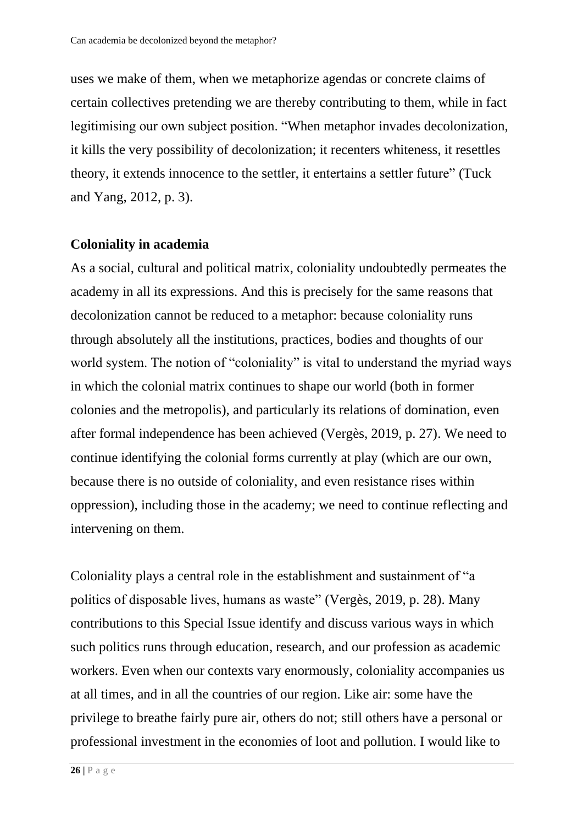uses we make of them, when we metaphorize agendas or concrete claims of certain collectives pretending we are thereby contributing to them, while in fact legitimising our own subject position. "When metaphor invades decolonization, it kills the very possibility of decolonization; it recenters whiteness, it resettles theory, it extends innocence to the settler, it entertains a settler future" (Tuck and Yang, 2012, p. 3).

## **Coloniality in academia**

As a social, cultural and political matrix, coloniality undoubtedly permeates the academy in all its expressions. And this is precisely for the same reasons that decolonization cannot be reduced to a metaphor: because coloniality runs through absolutely all the institutions, practices, bodies and thoughts of our world system. The notion of "coloniality" is vital to understand the myriad ways in which the colonial matrix continues to shape our world (both in former colonies and the metropolis), and particularly its relations of domination, even after formal independence has been achieved (Vergès, 2019, p. 27). We need to continue identifying the colonial forms currently at play (which are our own, because there is no outside of coloniality, and even resistance rises within oppression), including those in the academy; we need to continue reflecting and intervening on them.

Coloniality plays a central role in the establishment and sustainment of "a politics of disposable lives, humans as waste" (Vergès, 2019, p. 28). Many contributions to this Special Issue identify and discuss various ways in which such politics runs through education, research, and our profession as academic workers. Even when our contexts vary enormously, coloniality accompanies us at all times, and in all the countries of our region. Like air: some have the privilege to breathe fairly pure air, others do not; still others have a personal or professional investment in the economies of loot and pollution. I would like to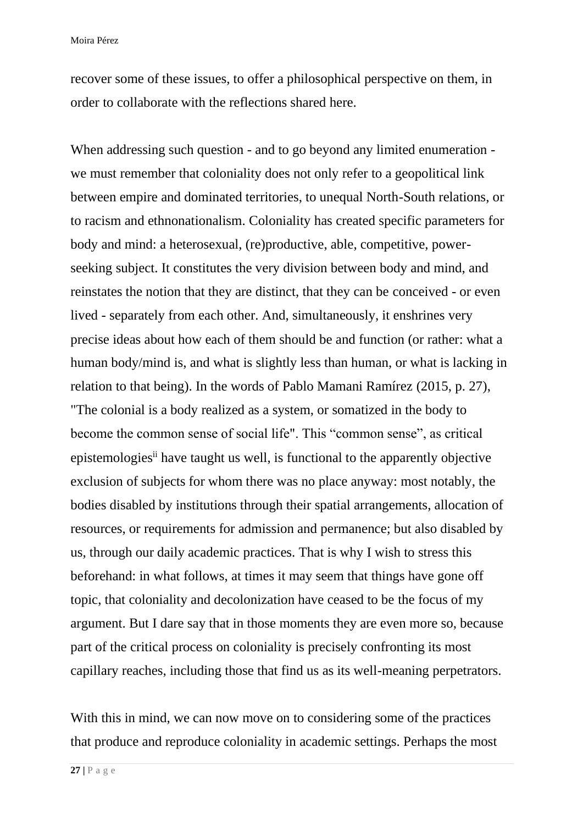recover some of these issues, to offer a philosophical perspective on them, in order to collaborate with the reflections shared here.

When addressing such question - and to go beyond any limited enumeration we must remember that coloniality does not only refer to a geopolitical link between empire and dominated territories, to unequal North-South relations, or to racism and ethnonationalism. Coloniality has created specific parameters for body and mind: a heterosexual, (re)productive, able, competitive, powerseeking subject. It constitutes the very division between body and mind, and reinstates the notion that they are distinct, that they can be conceived - or even lived - separately from each other. And, simultaneously, it enshrines very precise ideas about how each of them should be and function (or rather: what a human body/mind is, and what is slightly less than human, or what is lacking in relation to that being). In the words of Pablo Mamani Ramírez (2015, p. 27), "The colonial is a body realized as a system, or somatized in the body to become the common sense of social life". This "common sense", as critical epistemologiesii have taught us well, is functional to the apparently objective exclusion of subjects for whom there was no place anyway: most notably, the bodies disabled by institutions through their spatial arrangements, allocation of resources, or requirements for admission and permanence; but also disabled by us, through our daily academic practices. That is why I wish to stress this beforehand: in what follows, at times it may seem that things have gone off topic, that coloniality and decolonization have ceased to be the focus of my argument. But I dare say that in those moments they are even more so, because part of the critical process on coloniality is precisely confronting its most capillary reaches, including those that find us as its well-meaning perpetrators.

With this in mind, we can now move on to considering some of the practices that produce and reproduce coloniality in academic settings. Perhaps the most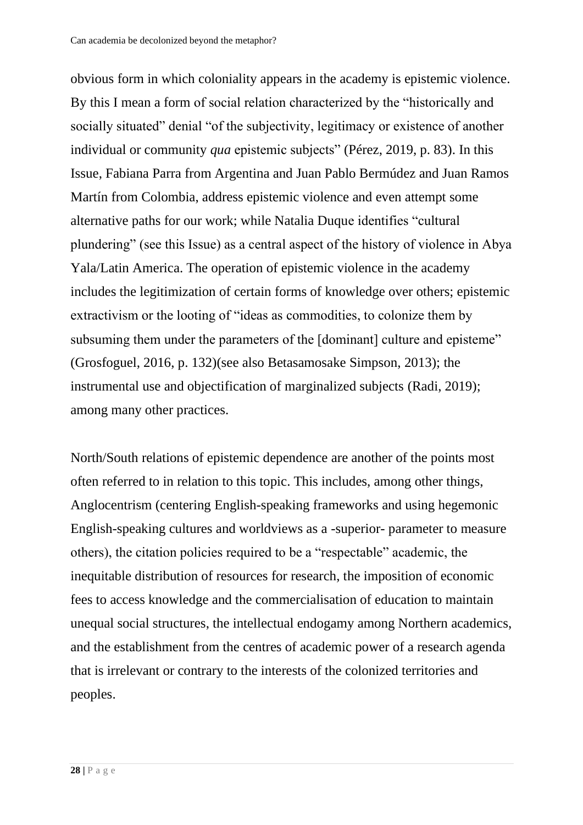obvious form in which coloniality appears in the academy is epistemic violence. By this I mean a form of social relation characterized by the "historically and socially situated" denial "of the subjectivity, legitimacy or existence of another individual or community *qua* epistemic subjects" (Pérez, 2019, p. 83). In this Issue, Fabiana Parra from Argentina and Juan Pablo Bermúdez and Juan Ramos Martín from Colombia, address epistemic violence and even attempt some alternative paths for our work; while Natalia Duque identifies "cultural plundering" (see this Issue) as a central aspect of the history of violence in Abya Yala/Latin America. The operation of epistemic violence in the academy includes the legitimization of certain forms of knowledge over others; epistemic extractivism or the looting of "ideas as commodities, to colonize them by subsuming them under the parameters of the [dominant] culture and episteme" (Grosfoguel, 2016, p. 132)(see also Betasamosake Simpson, 2013); the instrumental use and objectification of marginalized subjects (Radi, 2019); among many other practices.

North/South relations of epistemic dependence are another of the points most often referred to in relation to this topic. This includes, among other things, Anglocentrism (centering English-speaking frameworks and using hegemonic English-speaking cultures and worldviews as a -superior- parameter to measure others), the citation policies required to be a "respectable" academic, the inequitable distribution of resources for research, the imposition of economic fees to access knowledge and the commercialisation of education to maintain unequal social structures, the intellectual endogamy among Northern academics, and the establishment from the centres of academic power of a research agenda that is irrelevant or contrary to the interests of the colonized territories and peoples.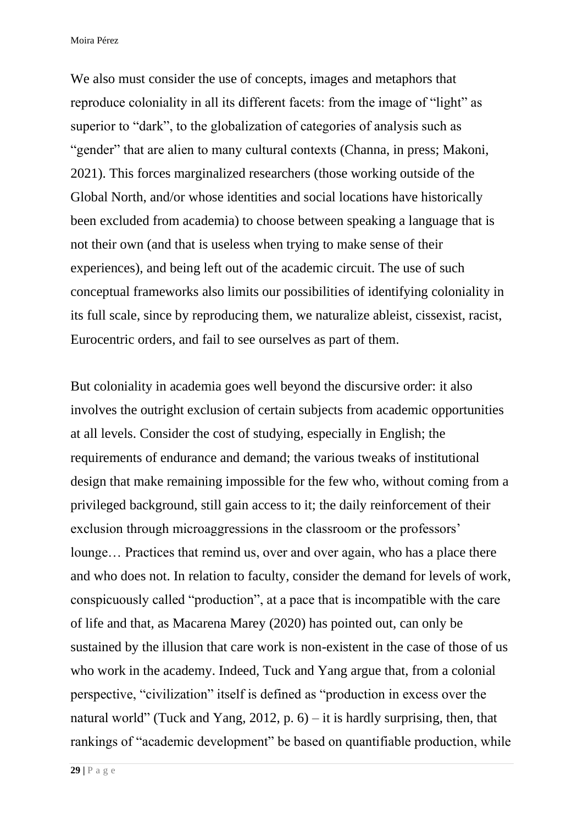We also must consider the use of concepts, images and metaphors that reproduce coloniality in all its different facets: from the image of "light" as superior to "dark", to the globalization of categories of analysis such as "gender" that are alien to many cultural contexts (Channa, in press; Makoni, 2021). This forces marginalized researchers (those working outside of the Global North, and/or whose identities and social locations have historically been excluded from academia) to choose between speaking a language that is not their own (and that is useless when trying to make sense of their experiences), and being left out of the academic circuit. The use of such conceptual frameworks also limits our possibilities of identifying coloniality in its full scale, since by reproducing them, we naturalize ableist, cissexist, racist, Eurocentric orders, and fail to see ourselves as part of them.

But coloniality in academia goes well beyond the discursive order: it also involves the outright exclusion of certain subjects from academic opportunities at all levels. Consider the cost of studying, especially in English; the requirements of endurance and demand; the various tweaks of institutional design that make remaining impossible for the few who, without coming from a privileged background, still gain access to it; the daily reinforcement of their exclusion through microaggressions in the classroom or the professors' lounge… Practices that remind us, over and over again, who has a place there and who does not. In relation to faculty, consider the demand for levels of work, conspicuously called "production", at a pace that is incompatible with the care of life and that, as Macarena Marey (2020) has pointed out, can only be sustained by the illusion that care work is non-existent in the case of those of us who work in the academy. Indeed, Tuck and Yang argue that, from a colonial perspective, "civilization" itself is defined as "production in excess over the natural world" (Tuck and Yang, 2012, p.  $6$ ) – it is hardly surprising, then, that rankings of "academic development" be based on quantifiable production, while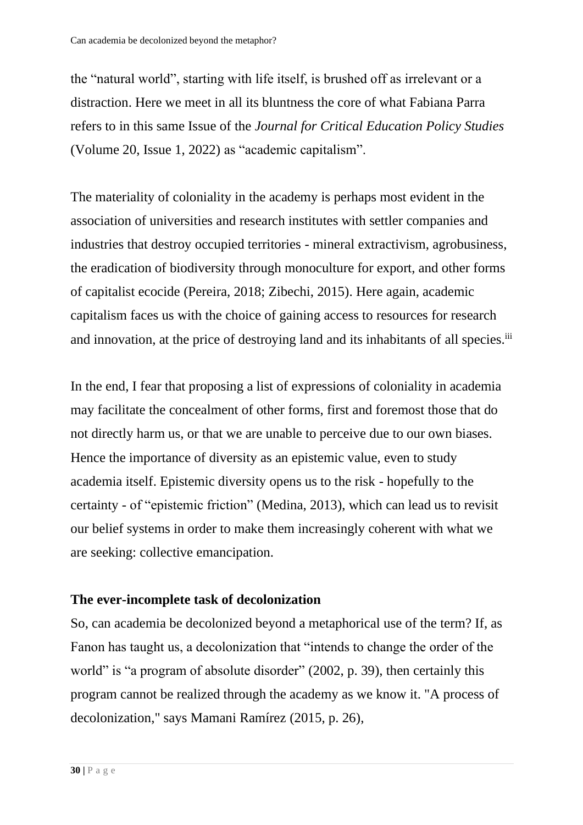the "natural world", starting with life itself, is brushed off as irrelevant or a distraction. Here we meet in all its bluntness the core of what Fabiana Parra refers to in this same Issue of the *Journal for Critical Education Policy Studies* (Volume 20, Issue 1, 2022) as "academic capitalism".

The materiality of coloniality in the academy is perhaps most evident in the association of universities and research institutes with settler companies and industries that destroy occupied territories - mineral extractivism, agrobusiness, the eradication of biodiversity through monoculture for export, and other forms of capitalist ecocide (Pereira, 2018; Zibechi, 2015). Here again, academic capitalism faces us with the choice of gaining access to resources for research and innovation, at the price of destroying land and its inhabitants of all species.<sup>iii</sup>

In the end, I fear that proposing a list of expressions of coloniality in academia may facilitate the concealment of other forms, first and foremost those that do not directly harm us, or that we are unable to perceive due to our own biases. Hence the importance of diversity as an epistemic value, even to study academia itself. Epistemic diversity opens us to the risk - hopefully to the certainty - of "epistemic friction" (Medina, 2013), which can lead us to revisit our belief systems in order to make them increasingly coherent with what we are seeking: collective emancipation.

# **The ever-incomplete task of decolonization**

So, can academia be decolonized beyond a metaphorical use of the term? If, as Fanon has taught us, a decolonization that "intends to change the order of the world" is "a program of absolute disorder" (2002, p. 39), then certainly this program cannot be realized through the academy as we know it. "A process of decolonization," says Mamani Ramírez (2015, p. 26),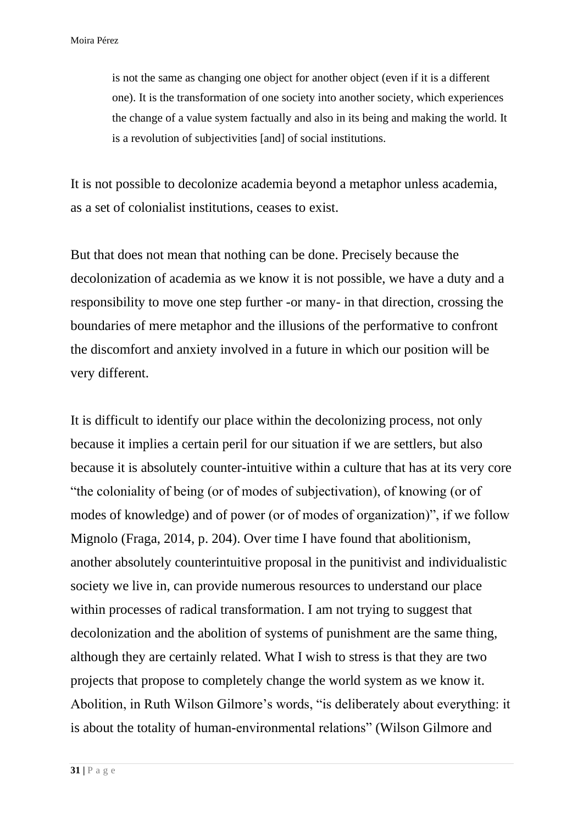is not the same as changing one object for another object (even if it is a different one). It is the transformation of one society into another society, which experiences the change of a value system factually and also in its being and making the world. It is a revolution of subjectivities [and] of social institutions.

It is not possible to decolonize academia beyond a metaphor unless academia, as a set of colonialist institutions, ceases to exist.

But that does not mean that nothing can be done. Precisely because the decolonization of academia as we know it is not possible, we have a duty and a responsibility to move one step further -or many- in that direction, crossing the boundaries of mere metaphor and the illusions of the performative to confront the discomfort and anxiety involved in a future in which our position will be very different.

It is difficult to identify our place within the decolonizing process, not only because it implies a certain peril for our situation if we are settlers, but also because it is absolutely counter-intuitive within a culture that has at its very core "the coloniality of being (or of modes of subjectivation), of knowing (or of modes of knowledge) and of power (or of modes of organization)", if we follow Mignolo (Fraga, 2014, p. 204). Over time I have found that abolitionism, another absolutely counterintuitive proposal in the punitivist and individualistic society we live in, can provide numerous resources to understand our place within processes of radical transformation. I am not trying to suggest that decolonization and the abolition of systems of punishment are the same thing, although they are certainly related. What I wish to stress is that they are two projects that propose to completely change the world system as we know it. Abolition, in Ruth Wilson Gilmore's words, "is deliberately about everything: it is about the totality of human-environmental relations" (Wilson Gilmore and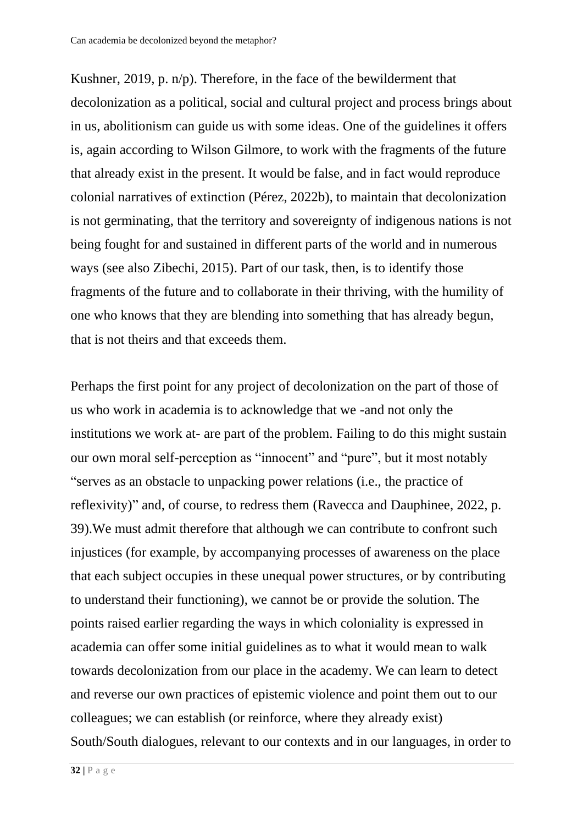Kushner, 2019, p. n/p). Therefore, in the face of the bewilderment that decolonization as a political, social and cultural project and process brings about in us, abolitionism can guide us with some ideas. One of the guidelines it offers is, again according to Wilson Gilmore, to work with the fragments of the future that already exist in the present. It would be false, and in fact would reproduce colonial narratives of extinction (Pérez, 2022b), to maintain that decolonization is not germinating, that the territory and sovereignty of indigenous nations is not being fought for and sustained in different parts of the world and in numerous ways (see also Zibechi, 2015). Part of our task, then, is to identify those fragments of the future and to collaborate in their thriving, with the humility of one who knows that they are blending into something that has already begun, that is not theirs and that exceeds them.

Perhaps the first point for any project of decolonization on the part of those of us who work in academia is to acknowledge that we -and not only the institutions we work at- are part of the problem. Failing to do this might sustain our own moral self-perception as "innocent" and "pure", but it most notably "serves as an obstacle to unpacking power relations (i.e., the practice of reflexivity)" and, of course, to redress them (Ravecca and Dauphinee, 2022, p. 39).We must admit therefore that although we can contribute to confront such injustices (for example, by accompanying processes of awareness on the place that each subject occupies in these unequal power structures, or by contributing to understand their functioning), we cannot be or provide the solution. The points raised earlier regarding the ways in which coloniality is expressed in academia can offer some initial guidelines as to what it would mean to walk towards decolonization from our place in the academy. We can learn to detect and reverse our own practices of epistemic violence and point them out to our colleagues; we can establish (or reinforce, where they already exist) South/South dialogues, relevant to our contexts and in our languages, in order to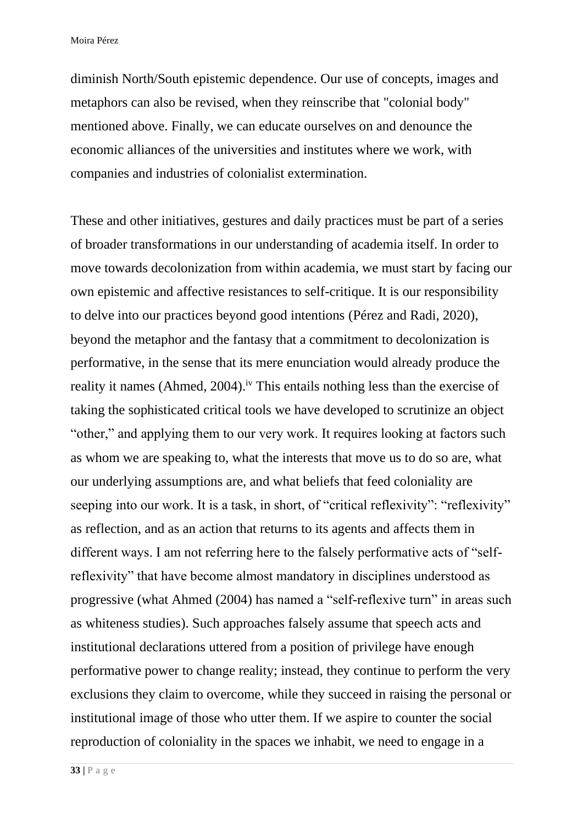diminish North/South epistemic dependence. Our use of concepts, images and metaphors can also be revised, when they reinscribe that "colonial body" mentioned above. Finally, we can educate ourselves on and denounce the economic alliances of the universities and institutes where we work, with companies and industries of colonialist extermination.

These and other initiatives, gestures and daily practices must be part of a series of broader transformations in our understanding of academia itself. In order to move towards decolonization from within academia, we must start by facing our own epistemic and affective resistances to self-critique. It is our responsibility to delve into our practices beyond good intentions (Pérez and Radi, 2020), beyond the metaphor and the fantasy that a commitment to decolonization is performative, in the sense that its mere enunciation would already produce the reality it names (Ahmed, 2004).<sup>iv</sup> This entails nothing less than the exercise of taking the sophisticated critical tools we have developed to scrutinize an object "other," and applying them to our very work. It requires looking at factors such as whom we are speaking to, what the interests that move us to do so are, what our underlying assumptions are, and what beliefs that feed coloniality are seeping into our work. It is a task, in short, of "critical reflexivity": "reflexivity" as reflection, and as an action that returns to its agents and affects them in different ways. I am not referring here to the falsely performative acts of "selfreflexivity" that have become almost mandatory in disciplines understood as progressive (what Ahmed (2004) has named a "self-reflexive turn" in areas such as whiteness studies). Such approaches falsely assume that speech acts and institutional declarations uttered from a position of privilege have enough performative power to change reality; instead, they continue to perform the very exclusions they claim to overcome, while they succeed in raising the personal or institutional image of those who utter them. If we aspire to counter the social reproduction of coloniality in the spaces we inhabit, we need to engage in a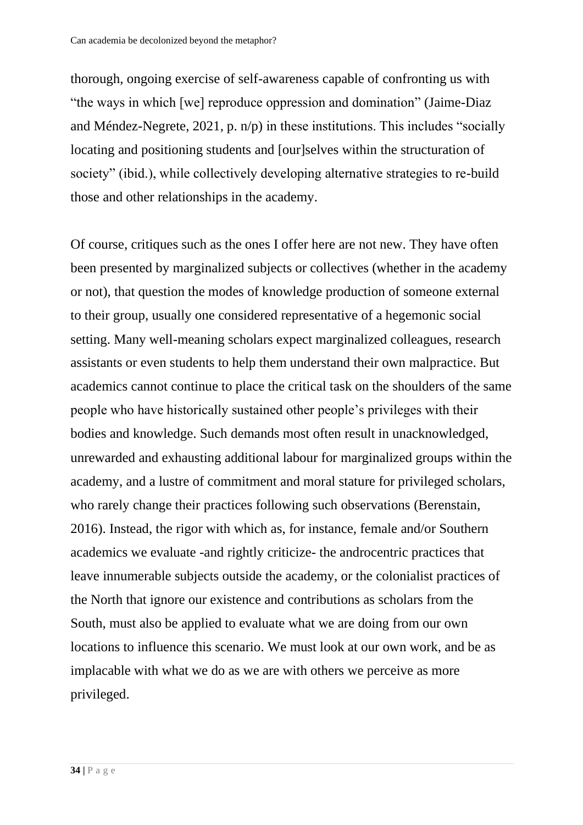thorough, ongoing exercise of self-awareness capable of confronting us with "the ways in which [we] reproduce oppression and domination" (Jaime-Diaz and Méndez-Negrete, 2021, p. n/p) in these institutions. This includes "socially locating and positioning students and [our]selves within the structuration of society" (ibid.), while collectively developing alternative strategies to re-build those and other relationships in the academy.

Of course, critiques such as the ones I offer here are not new. They have often been presented by marginalized subjects or collectives (whether in the academy or not), that question the modes of knowledge production of someone external to their group, usually one considered representative of a hegemonic social setting. Many well-meaning scholars expect marginalized colleagues, research assistants or even students to help them understand their own malpractice. But academics cannot continue to place the critical task on the shoulders of the same people who have historically sustained other people's privileges with their bodies and knowledge. Such demands most often result in unacknowledged, unrewarded and exhausting additional labour for marginalized groups within the academy, and a lustre of commitment and moral stature for privileged scholars, who rarely change their practices following such observations (Berenstain, 2016). Instead, the rigor with which as, for instance, female and/or Southern academics we evaluate -and rightly criticize- the androcentric practices that leave innumerable subjects outside the academy, or the colonialist practices of the North that ignore our existence and contributions as scholars from the South, must also be applied to evaluate what we are doing from our own locations to influence this scenario. We must look at our own work, and be as implacable with what we do as we are with others we perceive as more privileged.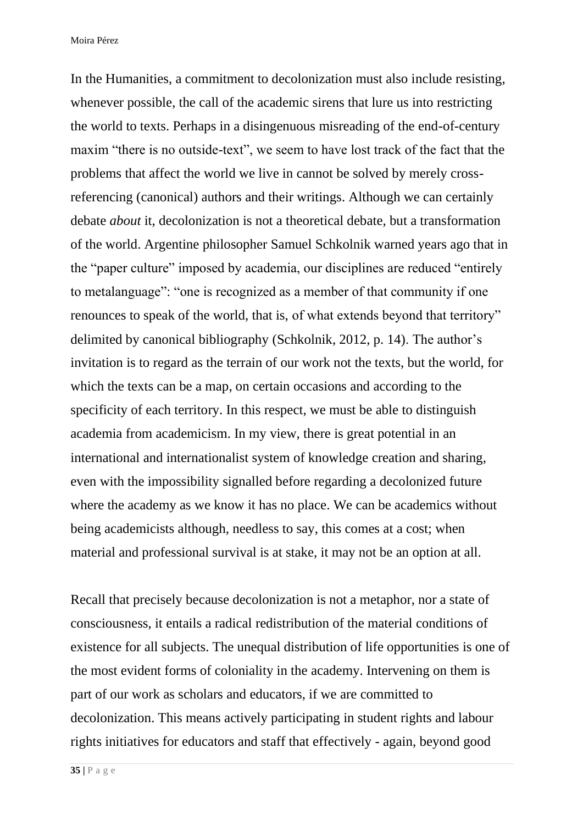In the Humanities, a commitment to decolonization must also include resisting, whenever possible, the call of the academic sirens that lure us into restricting the world to texts. Perhaps in a disingenuous misreading of the end-of-century maxim "there is no outside-text", we seem to have lost track of the fact that the problems that affect the world we live in cannot be solved by merely crossreferencing (canonical) authors and their writings. Although we can certainly debate *about* it, decolonization is not a theoretical debate, but a transformation of the world. Argentine philosopher Samuel Schkolnik warned years ago that in the "paper culture" imposed by academia, our disciplines are reduced "entirely to metalanguage": "one is recognized as a member of that community if one renounces to speak of the world, that is, of what extends beyond that territory" delimited by canonical bibliography (Schkolnik, 2012, p. 14). The author's invitation is to regard as the terrain of our work not the texts, but the world, for which the texts can be a map, on certain occasions and according to the specificity of each territory. In this respect, we must be able to distinguish academia from academicism. In my view, there is great potential in an international and internationalist system of knowledge creation and sharing, even with the impossibility signalled before regarding a decolonized future where the academy as we know it has no place. We can be academics without being academicists although, needless to say, this comes at a cost; when material and professional survival is at stake, it may not be an option at all.

Recall that precisely because decolonization is not a metaphor, nor a state of consciousness, it entails a radical redistribution of the material conditions of existence for all subjects. The unequal distribution of life opportunities is one of the most evident forms of coloniality in the academy. Intervening on them is part of our work as scholars and educators, if we are committed to decolonization. This means actively participating in student rights and labour rights initiatives for educators and staff that effectively - again, beyond good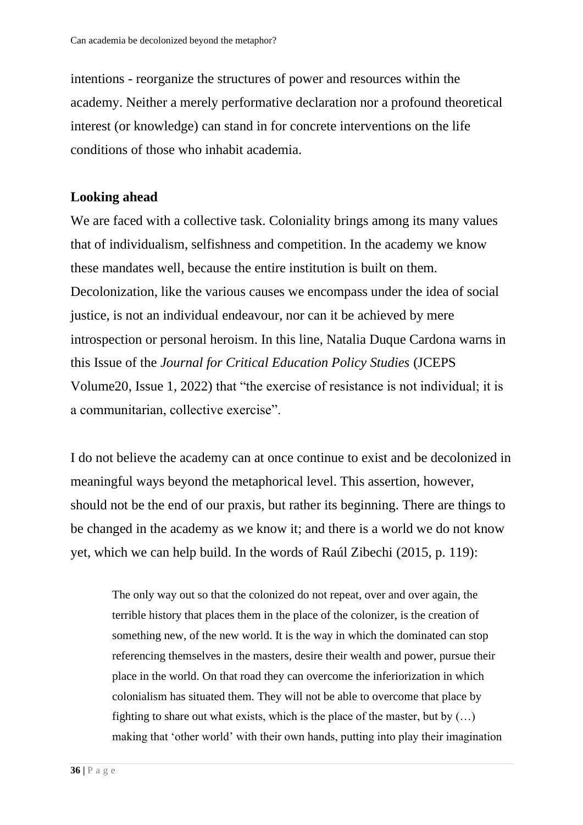intentions - reorganize the structures of power and resources within the academy. Neither a merely performative declaration nor a profound theoretical interest (or knowledge) can stand in for concrete interventions on the life conditions of those who inhabit academia.

## **Looking ahead**

We are faced with a collective task. Coloniality brings among its many values that of individualism, selfishness and competition. In the academy we know these mandates well, because the entire institution is built on them. Decolonization, like the various causes we encompass under the idea of social justice, is not an individual endeavour, nor can it be achieved by mere introspection or personal heroism. In this line, Natalia Duque Cardona warns in this Issue of the *Journal for Critical Education Policy Studies* (JCEPS Volume20, Issue 1, 2022) that "the exercise of resistance is not individual; it is a communitarian, collective exercise".

I do not believe the academy can at once continue to exist and be decolonized in meaningful ways beyond the metaphorical level. This assertion, however, should not be the end of our praxis, but rather its beginning. There are things to be changed in the academy as we know it; and there is a world we do not know yet, which we can help build. In the words of Raúl Zibechi (2015, p. 119):

The only way out so that the colonized do not repeat, over and over again, the terrible history that places them in the place of the colonizer, is the creation of something new, of the new world. It is the way in which the dominated can stop referencing themselves in the masters, desire their wealth and power, pursue their place in the world. On that road they can overcome the inferiorization in which colonialism has situated them. They will not be able to overcome that place by fighting to share out what exists, which is the place of the master, but by  $(...)$ making that 'other world' with their own hands, putting into play their imagination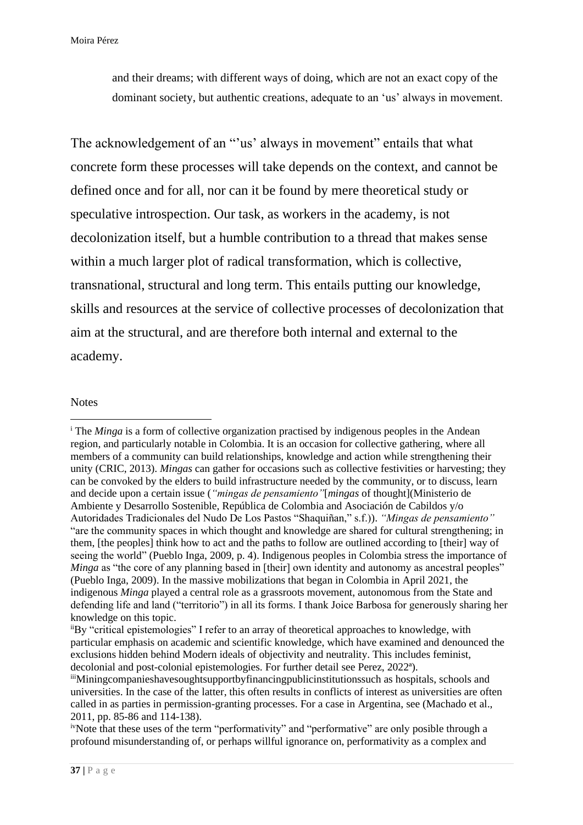and their dreams; with different ways of doing, which are not an exact copy of the dominant society, but authentic creations, adequate to an 'us' always in movement.

The acknowledgement of an "'us' always in movement" entails that what concrete form these processes will take depends on the context, and cannot be defined once and for all, nor can it be found by mere theoretical study or speculative introspection. Our task, as workers in the academy, is not decolonization itself, but a humble contribution to a thread that makes sense within a much larger plot of radical transformation, which is collective, transnational, structural and long term. This entails putting our knowledge, skills and resources at the service of collective processes of decolonization that aim at the structural, and are therefore both internal and external to the academy.

#### **Notes**

<sup>&</sup>lt;sup>i</sup> The *Minga* is a form of collective organization practised by indigenous peoples in the Andean region, and particularly notable in Colombia. It is an occasion for collective gathering, where all members of a community can build relationships, knowledge and action while strengthening their unity (CRIC, 2013). *Mingas* can gather for occasions such as collective festivities or harvesting; they can be convoked by the elders to build infrastructure needed by the community, or to discuss, learn and decide upon a certain issue (*"mingas de pensamiento"*[*mingas* of thought](Ministerio de Ambiente y Desarrollo Sostenible, República de Colombia and Asociación de Cabildos y/o Autoridades Tradicionales del Nudo De Los Pastos "Shaquiñan," s.f.)). *"Mingas de pensamiento"* "are the community spaces in which thought and knowledge are shared for cultural strengthening; in them, [the peoples] think how to act and the paths to follow are outlined according to [their] way of seeing the world" (Pueblo Inga, 2009, p. 4). Indigenous peoples in Colombia stress the importance of *Minga* as "the core of any planning based in [their] own identity and autonomy as ancestral peoples" (Pueblo Inga, 2009). In the massive mobilizations that began in Colombia in April 2021, the indigenous *Minga* played a central role as a grassroots movement, autonomous from the State and defending life and land ("territorio") in all its forms. I thank Joice Barbosa for generously sharing her knowledge on this topic.

iiBy "critical epistemologies" I refer to an array of theoretical approaches to knowledge, with particular emphasis on academic and scientific knowledge, which have examined and denounced the exclusions hidden behind Modern ideals of objectivity and neutrality. This includes feminist, decolonial and post-colonial epistemologies. For further detail see Perez, 2022ª).

iiiMiningcompanieshavesoughtsupportbyfinancingpublicinstitutionssuch as hospitals, schools and universities. In the case of the latter, this often results in conflicts of interest as universities are often called in as parties in permission-granting processes. For a case in Argentina, see (Machado et al., 2011, pp. 85-86 and 114-138).

ivNote that these uses of the term "performativity" and "performative" are only posible through a profound misunderstanding of, or perhaps willful ignorance on, performativity as a complex and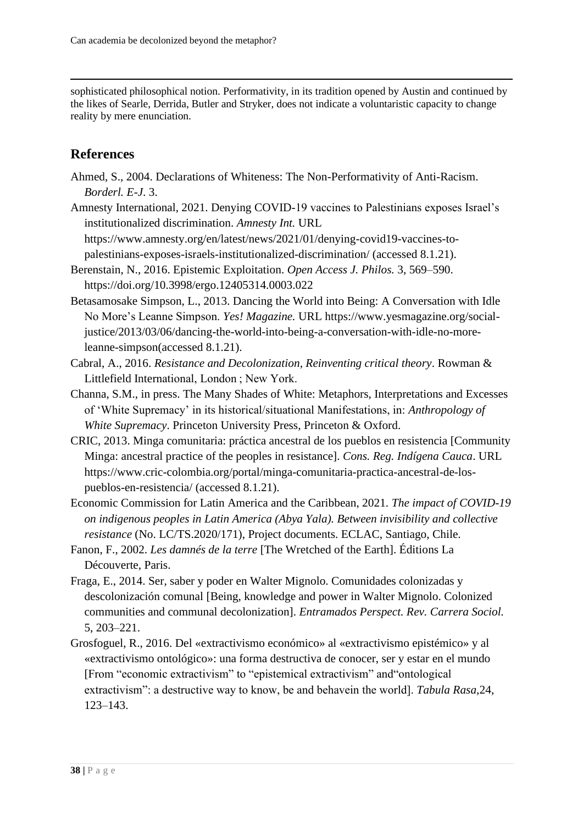sophisticated philosophical notion. Performativity, in its tradition opened by Austin and continued by the likes of Searle, Derrida, Butler and Stryker, does not indicate a voluntaristic capacity to change reality by mere enunciation.

# **References**

Ahmed, S., 2004. Declarations of Whiteness: The Non-Performativity of Anti-Racism. *Borderl. E-J*. 3.

Amnesty International, 2021. Denying COVID-19 vaccines to Palestinians exposes Israel's institutionalized discrimination. *Amnesty Int.* URL https://www.amnesty.org/en/latest/news/2021/01/denying-covid19-vaccines-topalestinians-exposes-israels-institutionalized-discrimination/ (accessed 8.1.21).

- Berenstain, N., 2016. Epistemic Exploitation. *Open Access J. Philos.* 3, 569–590. https://doi.org/10.3998/ergo.12405314.0003.022
- Betasamosake Simpson, L., 2013. Dancing the World into Being: A Conversation with Idle No More's Leanne Simpson. *Yes! Magazine.* URL https://www.yesmagazine.org/socialjustice/2013/03/06/dancing-the-world-into-being-a-conversation-with-idle-no-moreleanne-simpson(accessed 8.1.21).
- Cabral, A., 2016. *Resistance and Decolonization, Reinventing critical theory*. Rowman & Littlefield International, London ; New York.
- Channa, S.M., in press. The Many Shades of White: Metaphors, Interpretations and Excesses of 'White Supremacy' in its historical/situational Manifestations, in: *Anthropology of White Supremacy*. Princeton University Press, Princeton & Oxford.
- CRIC, 2013. Minga comunitaria: práctica ancestral de los pueblos en resistencia [Community Minga: ancestral practice of the peoples in resistance]. *Cons. Reg. Indígena Cauca*. URL https://www.cric-colombia.org/portal/minga-comunitaria-practica-ancestral-de-lospueblos-en-resistencia/ (accessed 8.1.21).
- Economic Commission for Latin America and the Caribbean, 2021. *The impact of COVID-19 on indigenous peoples in Latin America (Abya Yala). Between invisibility and collective resistance* (No. LC/TS.2020/171), Project documents. ECLAC, Santiago, Chile.
- Fanon, F., 2002. *Les damnés de la terre* [The Wretched of the Earth]. Éditions La Découverte, Paris.
- Fraga, E., 2014. Ser, saber y poder en Walter Mignolo. Comunidades colonizadas y descolonización comunal [Being, knowledge and power in Walter Mignolo. Colonized communities and communal decolonization]. *Entramados Perspect. Rev. Carrera Sociol.* 5, 203–221.
- Grosfoguel, R., 2016. Del «extractivismo económico» al «extractivismo epistémico» y al «extractivismo ontológico»: una forma destructiva de conocer, ser y estar en el mundo [From "economic extractivism" to "epistemical extractivism" and"ontological extractivism": a destructive way to know, be and behavein the world]. *Tabula Rasa,*24, 123–143.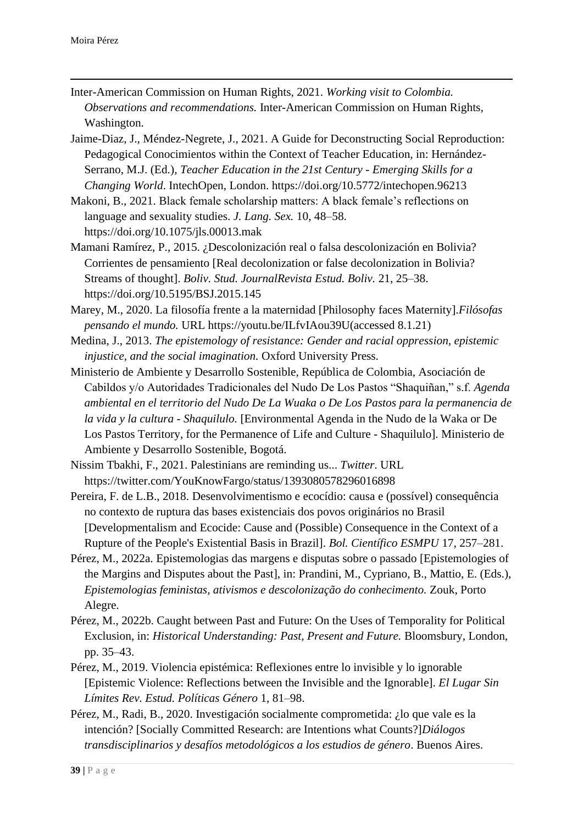- Inter-American Commission on Human Rights, 2021. *Working visit to Colombia. Observations and recommendations.* Inter-American Commission on Human Rights, Washington.
- Jaime-Diaz, J., Méndez-Negrete, J., 2021. A Guide for Deconstructing Social Reproduction: Pedagogical Conocimientos within the Context of Teacher Education, in: Hernández-Serrano, M.J. (Ed.), *Teacher Education in the 21st Century - Emerging Skills for a Changing World*. IntechOpen, London. https://doi.org/10.5772/intechopen.96213
- Makoni, B., 2021. Black female scholarship matters: A black female's reflections on language and sexuality studies. *J. Lang. Sex.* 10, 48–58. https://doi.org/10.1075/jls.00013.mak
- Mamani Ramírez, P., 2015. ¿Descolonización real o falsa descolonización en Bolivia? Corrientes de pensamiento [Real decolonization or false decolonization in Bolivia? Streams of thought]. *Boliv. Stud. JournalRevista Estud. Boliv.* 21, 25–38. https://doi.org/10.5195/BSJ.2015.145
- Marey, M., 2020. La filosofía frente a la maternidad [Philosophy faces Maternity].*Filósofas pensando el mundo.* URL https://youtu.be/ILfvIAou39U(accessed 8.1.21)
- Medina, J., 2013. *The epistemology of resistance: Gender and racial oppression, epistemic injustice, and the social imagination.* Oxford University Press.
- Ministerio de Ambiente y Desarrollo Sostenible, República de Colombia, Asociación de Cabildos y/o Autoridades Tradicionales del Nudo De Los Pastos "Shaquiñan," s.f. *Agenda ambiental en el territorio del Nudo De La Wuaka o De Los Pastos para la permanencia de la vida y la cultura - Shaquilulo.* [Environmental Agenda in the Nudo de la Waka or De Los Pastos Territory, for the Permanence of Life and Culture - Shaquilulo]. Ministerio de Ambiente y Desarrollo Sostenible, Bogotá.
- Nissim Tbakhi, F., 2021. Palestinians are reminding us... *Twitter*. URL https://twitter.com/YouKnowFargo/status/1393080578296016898
- Pereira, F. de L.B., 2018. Desenvolvimentismo e ecocídio: causa e (possível) consequência no contexto de ruptura das bases existenciais dos povos originários no Brasil [Developmentalism and Ecocide: Cause and (Possible) Consequence in the Context of a Rupture of the People's Existential Basis in Brazil]. *Bol. Científico ESMPU* 17, 257–281.
- Pérez, M., 2022a. Epistemologias das margens e disputas sobre o passado [Epistemologies of the Margins and Disputes about the Past], in: Prandini, M., Cypriano, B., Mattio, E. (Eds.), *Epistemologias feministas, ativismos e descolonização do conhecimento.* Zouk, Porto Alegre.
- Pérez, M., 2022b. Caught between Past and Future: On the Uses of Temporality for Political Exclusion, in: *Historical Understanding: Past, Present and Future.* Bloomsbury, London, pp. 35–43.
- Pérez, M., 2019. Violencia epistémica: Reflexiones entre lo invisible y lo ignorable [Epistemic Violence: Reflections between the Invisible and the Ignorable]. *El Lugar Sin Límites Rev. Estud. Políticas Género* 1, 81–98.
- Pérez, M., Radi, B., 2020. Investigación socialmente comprometida: ¿lo que vale es la intención? [Socially Committed Research: are Intentions what Counts?]*Diálogos transdisciplinarios y desafíos metodológicos a los estudios de género*. Buenos Aires.